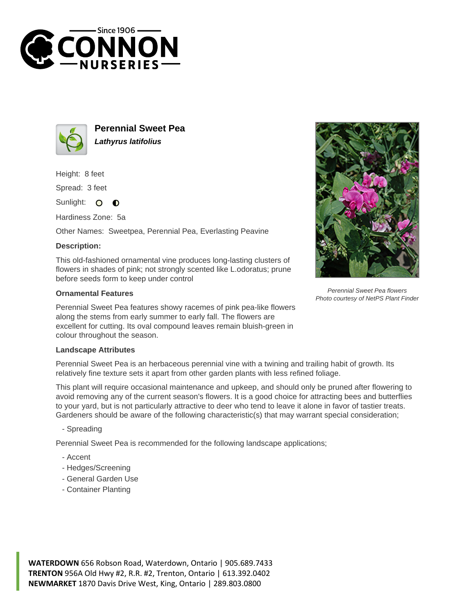



**Perennial Sweet Pea Lathyrus latifolius**

Height: 8 feet

Spread: 3 feet

Sunlight:  $\Omega$  $\bullet$ 

Hardiness Zone: 5a

Other Names: Sweetpea, Perennial Pea, Everlasting Peavine

## **Description:**

This old-fashioned ornamental vine produces long-lasting clusters of flowers in shades of pink; not strongly scented like L.odoratus; prune before seeds form to keep under control

## **Ornamental Features**

Perennial Sweet Pea features showy racemes of pink pea-like flowers along the stems from early summer to early fall. The flowers are excellent for cutting. Its oval compound leaves remain bluish-green in colour throughout the season.

## **Landscape Attributes**

Perennial Sweet Pea is an herbaceous perennial vine with a twining and trailing habit of growth. Its relatively fine texture sets it apart from other garden plants with less refined foliage.

This plant will require occasional maintenance and upkeep, and should only be pruned after flowering to avoid removing any of the current season's flowers. It is a good choice for attracting bees and butterflies to your yard, but is not particularly attractive to deer who tend to leave it alone in favor of tastier treats. Gardeners should be aware of the following characteristic(s) that may warrant special consideration;

- Spreading

Perennial Sweet Pea is recommended for the following landscape applications;

- Accent
- Hedges/Screening
- General Garden Use
- Container Planting



Perennial Sweet Pea flowers Photo courtesy of NetPS Plant Finder

**WATERDOWN** 656 Robson Road, Waterdown, Ontario | 905.689.7433 **TRENTON** 956A Old Hwy #2, R.R. #2, Trenton, Ontario | 613.392.0402 **NEWMARKET** 1870 Davis Drive West, King, Ontario | 289.803.0800